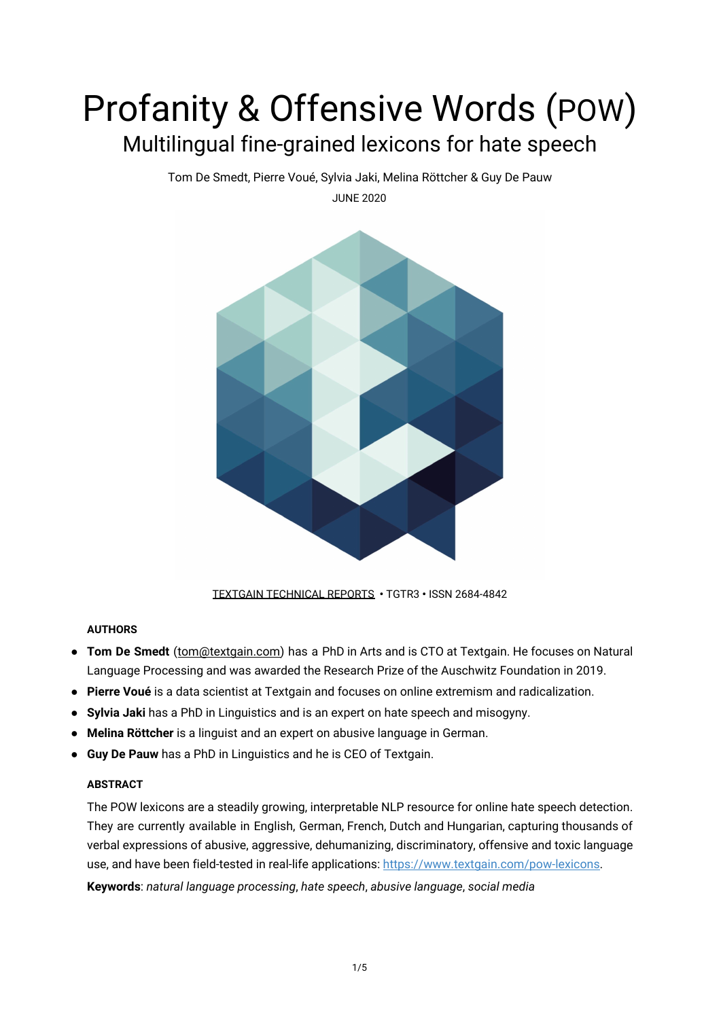# Profanity & Offensive Words (POW) Multilingual fine-grained lexicons for hate speech

Tom De Smedt, Pierre Voué, Sylvia Jaki, Melina Röttcher & Guy De Pauw

JUNE 2020



[TEXTGAIN TECHNICAL REPORTS](https://textgain.com/resources) **•** TGTR3 **•** ISSN 2684-4842

# **AUTHORS**

- **Tom De Smedt** ([tom@textgain.com\)](mailto:tom@textgain.com) has a PhD in Arts and is CTO at Textgain. He focuses on Natural Language Processing and was awarded the Research Prize of the Auschwitz Foundation in 2019.
- **Pierre Voué** is a data scientist at Textgain and focuses on online extremism and radicalization.
- **Sylvia Jaki** has a PhD in Linguistics and is an expert on hate speech and misogyny.
- **Melina Röttcher** is a linguist and an expert on abusive language in German.
- **Guy De Pauw** has a PhD in Linguistics and he is CEO of Textgain.

# **ABSTRACT**

The POW lexicons are a steadily growing, interpretable NLP resource for online hate speech detection. They are currently available in English, German, French, Dutch and Hungarian, capturing thousands of verbal expressions of abusive, aggressive, dehumanizing, discriminatory, offensive and toxic language use, and have been field-tested in real-life applications: <https://www.textgain.com/pow-lexicons>.

**Keywords**: *natural language processing*, *hate speech*, *abusive language*, *social media*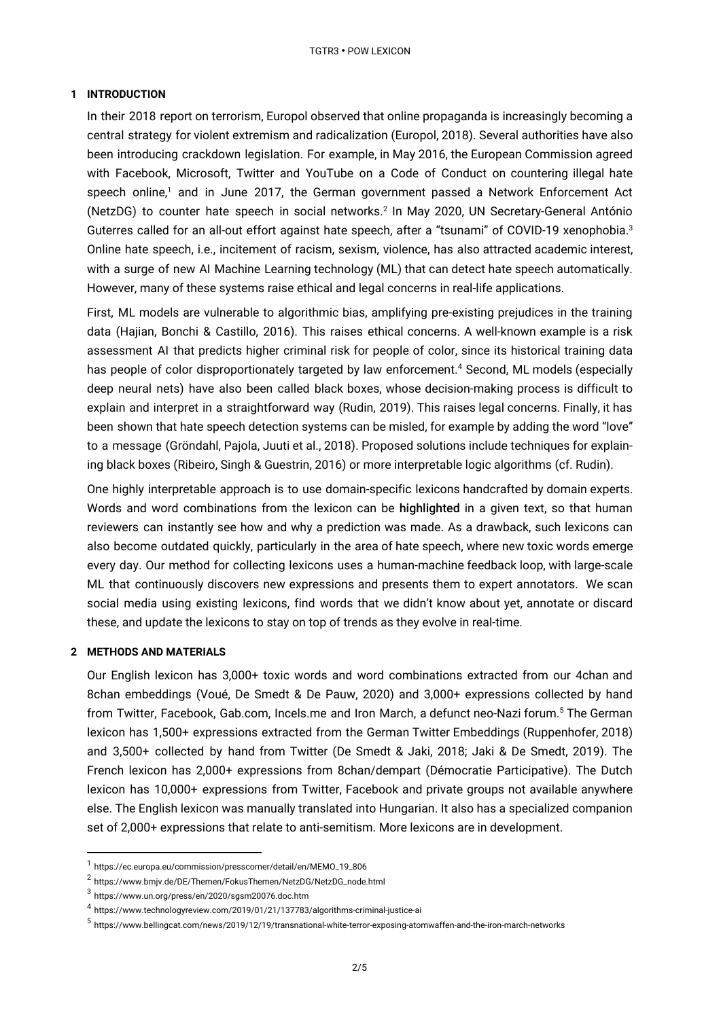## **1 INTRODUCTION**

In their 2018 report on terrorism, Europol observed that online propaganda is increasingly becoming a central strategy for violent extremism and radicalization (Europol, 2018). Several authorities have also been introducing crackdown legislation. For example, in May 2016, the European Commission agreed with Facebook, Microsoft, Twitter and YouTube on a Code of Conduct on countering illegal hate speech online,<sup>1</sup> and in June 2017, the German government passed a Network Enforcement Act (NetzDG) to counter hate speech in social networks.<sup>2</sup> In May 2020, UN Secretary-General António Guterres called for an all-out effort against hate speech, after a "tsunami" of COVID-19 xenophobia.<sup>3</sup> Online hate speech, i.e., incitement of racism, sexism, violence, has also attracted academic interest, with a surge of new AI Machine Learning technology (ML) that can detect hate speech automatically. However, many of these systems raise ethical and legal concerns in real-life applications.

First, ML models are vulnerable to algorithmic bias, amplifying pre-existing prejudices in the training data (Hajian, Bonchi & Castillo, 2016). This raises ethical concerns. A well-known example is a risk assessment AI that predicts higher criminal risk for people of color, since its historical training data has people of color disproportionately targeted by law enforcement.<sup>4</sup> Second, ML models (especially deep neural nets) have also been called black boxes, whose decision-making process is difficult to explain and interpret in a straightforward way (Rudin, 2019). This raises legal concerns. Finally, it has been shown that hate speech detection systems can be misled, for example by adding the word "love" to a message (Gröndahl, Pajola, Juuti et al., 2018). Proposed solutions include techniques for explaining black boxes (Ribeiro, Singh & Guestrin, 2016) or more interpretable logic algorithms (cf. Rudin).

One highly interpretable approach is to use domain-specific lexicons handcrafted by domain experts. Words and word combinations from the lexicon can be highlighted in a given text, so that human reviewers can instantly see how and why a prediction was made. As a drawback, such lexicons can also become outdated quickly, particularly in the area of hate speech, where new toxic words emerge every day. Our method for collecting lexicons uses a human-machine feedback loop, with large-scale ML that continuously discovers new expressions and presents them to expert annotators. We scan social media using existing lexicons, find words that we didn't know about yet, annotate or discard these, and update the lexicons to stay on top of trends as they evolve in real-time.

## **2 METHODS AND MATERIALS**

Our English lexicon has 3,000+ toxic words and word combinations extracted from our 4chan and 8chan embeddings (Voué, De Smedt & De Pauw, 2020) and 3,000+ expressions collected by hand from Twitter, Facebook, Gab.com, Incels.me and Iron March, a defunct neo-Nazi forum.<sup>5</sup> The German lexicon has 1,500+ expressions extracted from the German Twitter Embeddings (Ruppenhofer, 2018) and 3,500+ collected by hand from Twitter (De Smedt & Jaki, 2018; Jaki & De Smedt, 2019). The French lexicon has 2,000+ expressions from 8chan/dempart (Démocratie Participative). The Dutch lexicon has 10,000+ expressions from Twitter, Facebook and private groups not available anywhere else. The English lexicon was manually translated into Hungarian. It also has a specialized companion set of 2,000+ expressions that relate to anti-semitism. More lexicons are in development.

<sup>1</sup> https://ec.europa.eu/commission/presscorner/detail/en/MEMO\_19\_806

 $^2$  https://www.bmjv.de/DE/Themen/FokusThemen/NetzDG/NetzDG\_node.html

 $^3$ https://www.un.org/press/en/2020/sgsm20076.doc.htm

<sup>4</sup> https://www.technologyreview.com/2019/01/21/137783/algorithms-criminal-justice-ai

<sup>5</sup> https://www.bellingcat.com/news/2019/12/19/transnational-white-terror-exposing-atomwaffen-and-the-iron-march-networks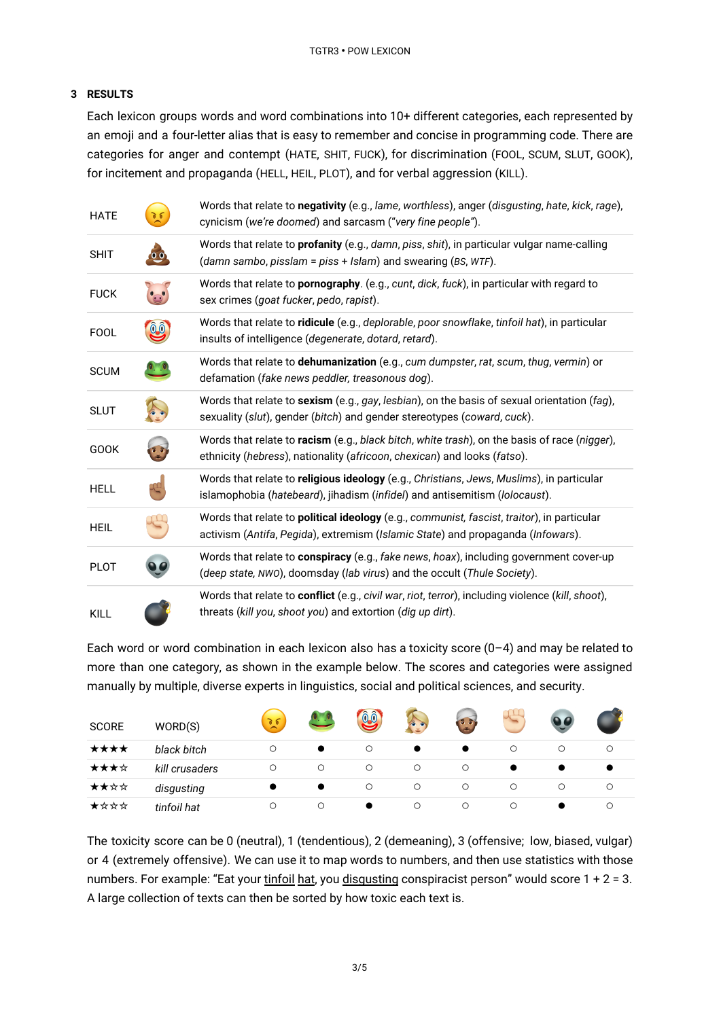## **3 RESULTS**

Each lexicon groups words and word combinations into 10+ different categories, each represented by an emoji and a four-letter alias that is easy to remember and concise in programming code. There are categories for anger and contempt (HATE, SHIT, FUCK), for discrimination (FOOL, SCUM, SLUT, GOOK), for incitement and propaganda (HELL, HEIL, PLOT), and for verbal aggression (KILL).

| <b>HATE</b> |                                 | Words that relate to negativity (e.g., lame, worthless), anger (disgusting, hate, kick, rage),<br>cynicism (we're doomed) and sarcasm ("very fine people").                          |
|-------------|---------------------------------|--------------------------------------------------------------------------------------------------------------------------------------------------------------------------------------|
| <b>SHIT</b> |                                 | Words that relate to <i>profanity</i> (e.g., damn, piss, shit), in particular vulgar name-calling<br>(damn sambo, pisslam = piss + Islam) and swearing (BS, WTF).                    |
| <b>FUCK</b> |                                 | Words that relate to pornography. (e.g., cunt, dick, fuck), in particular with regard to<br>sex crimes (goat fucker, pedo, rapist).                                                  |
| <b>FOOL</b> | $\overline{0}$ . $\overline{0}$ | Words that relate to ridicule (e.g., deplorable, poor snowflake, tinfoil hat), in particular<br>insults of intelligence (degenerate, dotard, retard).                                |
| <b>SCUM</b> |                                 | Words that relate to dehumanization (e.g., cum dumpster, rat, scum, thug, vermin) or<br>defamation (fake news peddler, treasonous dog).                                              |
| <b>SLUT</b> |                                 | Words that relate to sexism (e.g., gay, lesbian), on the basis of sexual orientation (fag),<br>sexuality (slut), gender (bitch) and gender stereotypes (coward, cuck).               |
| GOOK        |                                 | Words that relate to racism (e.g., black bitch, white trash), on the basis of race (nigger),<br>ethnicity (hebress), nationality (africoon, chexican) and looks (fatso).             |
| <b>HELL</b> |                                 | Words that relate to religious ideology (e.g., Christians, Jews, Muslims), in particular<br>islamophobia (hatebeard), jihadism (infidel) and antisemitism (lolocaust).               |
| <b>HEIL</b> |                                 | Words that relate to <b>political ideology</b> (e.g., communist, fascist, traitor), in particular<br>activism (Antifa, Pegida), extremism (Islamic State) and propaganda (Infowars). |
| <b>PLOT</b> |                                 | Words that relate to <b>conspiracy</b> (e.g., fake news, hoax), including government cover-up<br>(deep state, NWO), doomsday (lab virus) and the occult (Thule Society).             |
| KILL        |                                 | Words that relate to conflict (e.g., civil war, riot, terror), including violence (kill, shoot),<br>threats (kill you, shoot you) and extortion (dig up dirt).                       |

Each word or word combination in each lexicon also has a toxicity score  $(0-4)$  and may be related to more than one category, as shown in the example below. The scores and categories were assigned manually by multiple, diverse experts in linguistics, social and political sciences, and security.

| <b>SCORE</b> | WORD(S)        | 26      | $\bullet$ . $\bullet$ | <b>QO</b> | $\widehat{a}$ $\widehat{a}$ | la an |         | $\bullet$ |  |
|--------------|----------------|---------|-----------------------|-----------|-----------------------------|-------|---------|-----------|--|
| ★★★★         | black bitch    | $\circ$ |                       |           |                             |       | $\circ$ |           |  |
| ★★★☆         | kill crusaders | $\circ$ | O                     | О         | $\circ$                     | Ο     |         |           |  |
| ★★☆☆         | disgusting     |         |                       |           | О                           | ∩     | $\circ$ |           |  |
| ★☆☆☆         | tinfoil hat    | Ο       | $\circ$               |           | О                           | Ο     | $\circ$ |           |  |

The toxicity score can be 0 (neutral), 1 (tendentious), 2 (demeaning), 3 (offensive; low, biased, vulgar) or 4 (extremely offensive). We can use it to map words to numbers, and then use statistics with those numbers. For example: "Eat your tinfoil hat, you disqusting conspiracist person" would score  $1 + 2 = 3$ . A large collection of texts can then be sorted by how toxic each text is.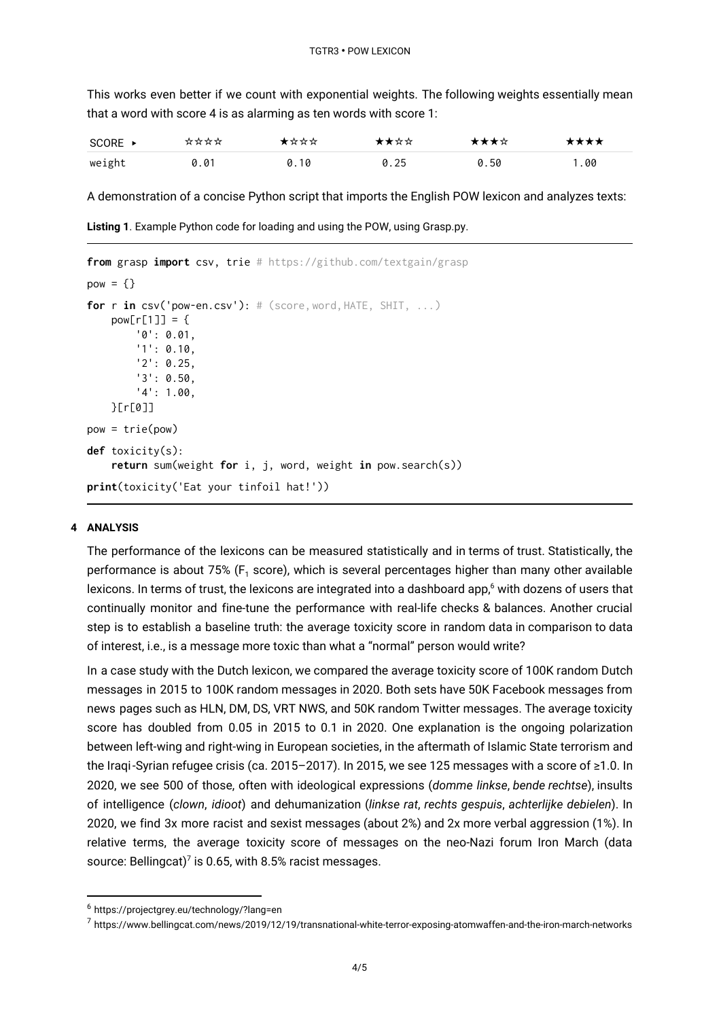This works even better if we count with exponential weights. The following weights essentially mean that a word with score 4 is as alarming as ten words with score 1:

| $SCORE \rightarrow$ | **** | ★☆☆☆ | ★★☆☆ | ★★★☆ | ★★★★ |
|---------------------|------|------|------|------|------|
| weight              | 0.01 | 0.10 | 0.25 | 0.50 | 1.00 |

A demonstration of a concise Python script that imports the English POW lexicon and analyzes texts:

**Listing 1**. Example Python code for loading and using the POW, using Grasp.py.

```
from grasp import csv, trie # https://github.com/textgain/grasp
pow = \{\}for r in csv('pow-en.csv'): # (score,word, HATE, SHIT, ...)
    pow[r[1]]= {
        '0': 0.01,
        '1': 0.10,
        '2': 0.25,
        '3': 0.50,
        '4': 1.00,
    }[r[0]]
pow = trie(pow)
def toxicity(s):
    return sum(weight for i, j, word, weight in pow.search(s))
print(toxicity('Eat your tinfoil hat!'))
```
#### **4 ANALYSIS**

The performance of the lexicons can be measured statistically and in terms of trust. Statistically, the performance is about 75%  $(F_1 \text{ score})$ , which is several percentages higher than many other available lexicons. In terms of trust, the lexicons are integrated into a dashboard app, $^6$  with dozens of users that continually monitor and fine-tune the performance with real-life checks & balances. Another crucial step is to establish a baseline truth: the average toxicity score in random data in comparison to data of interest, i.e., is a message more toxic than what a "normal" person would write?

In a case study with the Dutch lexicon, we compared the average toxicity score of 100K random Dutch messages in 2015 to 100K random messages in 2020. Both sets have 50K Facebook messages from news pages such as HLN, DM, DS, VRT NWS, and 50K random Twitter messages. The average toxicity score has doubled from 0.05 in 2015 to 0.1 in 2020. One explanation is the ongoing polarization between left-wing and right-wing in European societies, in the aftermath of Islamic State terrorism and the Iraqi-Syrian refugee crisis (ca. 2015–2017). In 2015, we see 125 messages with a score of ≥1.0. In 2020, we see 500 of those, often with ideological expressions (*domme linkse*, *bende rechtse*), insults of intelligence (*clown*, *idioot*) and dehumanization (*linkse rat*, *rechts gespuis*, *achterlijke debielen*). In 2020, we find 3x more racist and sexist messages (about 2%) and 2x more verbal aggression (1%). In relative terms, the average toxicity score of messages on the neo-Nazi forum Iron March (data source: Bellingcat)<sup>7</sup> is 0.65, with 8.5% racist messages.

<sup>6</sup> https://projectgrey.eu/technology/?lang=en

<sup>7</sup> https://www.bellingcat.com/news/2019/12/19/transnational-white-terror-exposing-atomwaffen-and-the-iron-march-networks